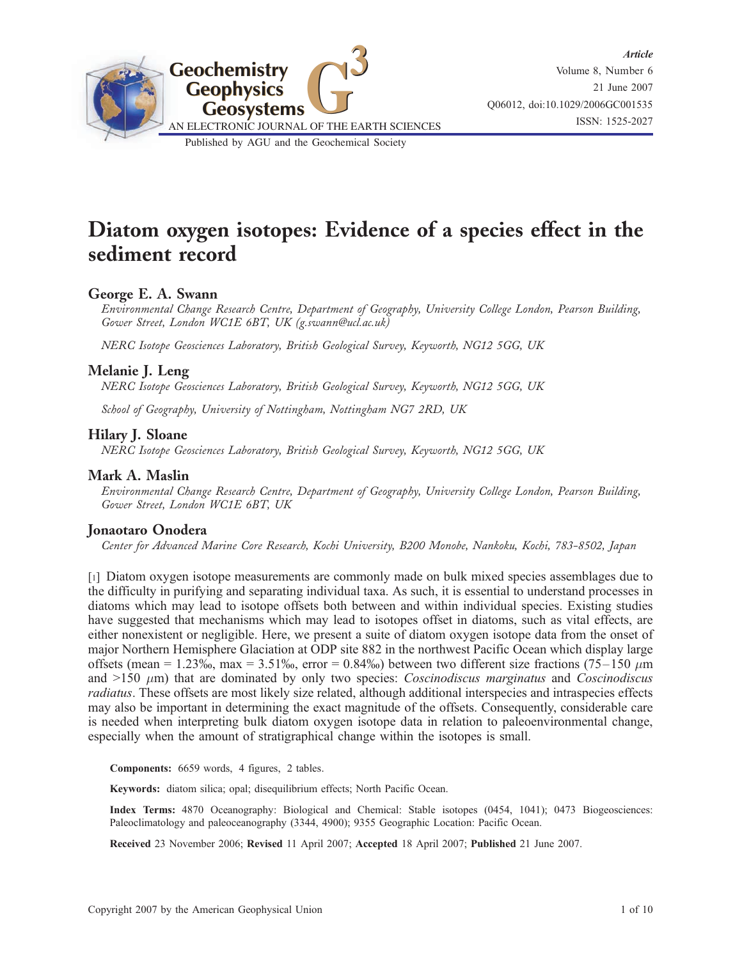

# Diatom oxygen isotopes: Evidence of a species effect in the sediment record

### George E. A. Swann

Environmental Change Research Centre, Department of Geography, University College London, Pearson Building, Gower Street, London WC1E 6BT, UK (g.swann@ucl.ac.uk)

NERC Isotope Geosciences Laboratory, British Geological Survey, Keyworth, NG12 5GG, UK

### Melanie J. Leng

NERC Isotope Geosciences Laboratory, British Geological Survey, Keyworth, NG12 5GG, UK

School of Geography, University of Nottingham, Nottingham NG7 2RD, UK

### Hilary J. Sloane

NERC Isotope Geosciences Laboratory, British Geological Survey, Keyworth, NG12 5GG, UK

### Mark A. Maslin

Environmental Change Research Centre, Department of Geography, University College London, Pearson Building, Gower Street, London WC1E 6BT, UK

### Jonaotaro Onodera

Center for Advanced Marine Core Research, Kochi University, B200 Monobe, Nankoku, Kochi, 783-8502, Japan

[1] Diatom oxygen isotope measurements are commonly made on bulk mixed species assemblages due to the difficulty in purifying and separating individual taxa. As such, it is essential to understand processes in diatoms which may lead to isotope offsets both between and within individual species. Existing studies have suggested that mechanisms which may lead to isotopes offset in diatoms, such as vital effects, are either nonexistent or negligible. Here, we present a suite of diatom oxygen isotope data from the onset of major Northern Hemisphere Glaciation at ODP site 882 in the northwest Pacific Ocean which display large offsets (mean = 1.23‰, max = 3.51‰, error = 0.84‰) between two different size fractions (75–150  $\mu$ m and  $>150 \mu m$ ) that are dominated by only two species: *Coscinodiscus marginatus* and *Coscinodiscus* radiatus. These offsets are most likely size related, although additional interspecies and intraspecies effects may also be important in determining the exact magnitude of the offsets. Consequently, considerable care is needed when interpreting bulk diatom oxygen isotope data in relation to paleoenvironmental change, especially when the amount of stratigraphical change within the isotopes is small.

Components: 6659 words, 4 figures, 2 tables.

Keywords: diatom silica; opal; disequilibrium effects; North Pacific Ocean.

Index Terms: 4870 Oceanography: Biological and Chemical: Stable isotopes (0454, 1041); 0473 Biogeosciences: Paleoclimatology and paleoceanography (3344, 4900); 9355 Geographic Location: Pacific Ocean.

Received 23 November 2006; Revised 11 April 2007; Accepted 18 April 2007; Published 21 June 2007.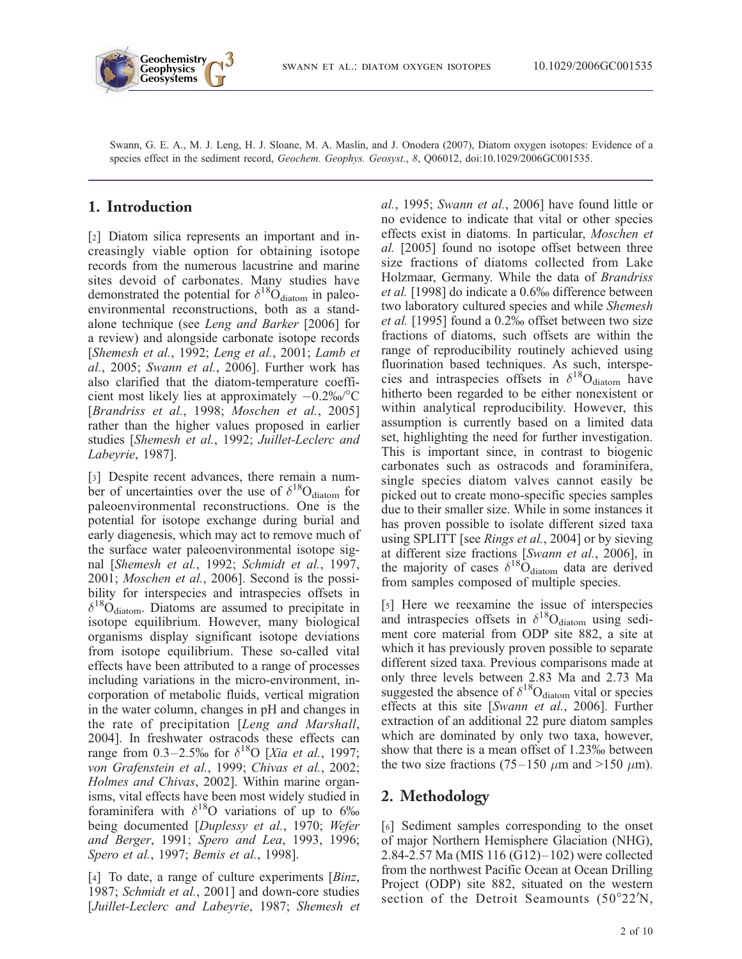

Swann, G. E. A., M. J. Leng, H. J. Sloane, M. A. Maslin, and J. Onodera (2007), Diatom oxygen isotopes: Evidence of a species effect in the sediment record, Geochem. Geophys. Geosyst., 8, Q06012, doi:10.1029/2006GC001535.

# 1. Introduction

[2] Diatom silica represents an important and increasingly viable option for obtaining isotope records from the numerous lacustrine and marine sites devoid of carbonates. Many studies have demonstrated the potential for  $\delta^{18}O_{\text{diatom}}$  in paleoenvironmental reconstructions, both as a standalone technique (see Leng and Barker [2006] for a review) and alongside carbonate isotope records [Shemesh et al., 1992; Leng et al., 2001; Lamb et al., 2005; Swann et al., 2006]. Further work has also clarified that the diatom-temperature coefficient most likely lies at approximately  $-0.2\%$ <sup>o</sup>C [Brandriss et al., 1998; Moschen et al., 2005] rather than the higher values proposed in earlier studies [Shemesh et al., 1992; Juillet-Leclerc and Labeyrie, 1987].

[3] Despite recent advances, there remain a number of uncertainties over the use of  $\delta^{18}O_{diatom}$  for paleoenvironmental reconstructions. One is the potential for isotope exchange during burial and early diagenesis, which may act to remove much of the surface water paleoenvironmental isotope signal [Shemesh et al., 1992; Schmidt et al., 1997, 2001; Moschen et al., 2006]. Second is the possibility for interspecies and intraspecies offsets in  $\delta^{18}$ O<sub>diatom</sub>. Diatoms are assumed to precipitate in isotope equilibrium. However, many biological organisms display significant isotope deviations from isotope equilibrium. These so-called vital effects have been attributed to a range of processes including variations in the micro-environment, incorporation of metabolic fluids, vertical migration in the water column, changes in pH and changes in the rate of precipitation [Leng and Marshall, 2004]. In freshwater ostracods these effects can range from 0.3–2.5‰ for  $\delta^{18}O$  [Xia et al., 1997; von Grafenstein et al., 1999; Chivas et al., 2002; Holmes and Chivas, 2002]. Within marine organisms, vital effects have been most widely studied in foraminifera with  $\delta^{18}$ O variations of up to 6% being documented [Duplessy et al., 1970; Wefer and Berger, 1991; Spero and Lea, 1993, 1996; Spero et al., 1997; Bemis et al., 1998].

[4] To date, a range of culture experiments [*Binz*, 1987; Schmidt et al., 2001] and down-core studies [Juillet-Leclerc and Labeyrie, 1987; Shemesh et

al., 1995; Swann et al., 2006] have found little or no evidence to indicate that vital or other species effects exist in diatoms. In particular, Moschen et al. [2005] found no isotope offset between three size fractions of diatoms collected from Lake Holzmaar, Germany. While the data of Brandriss et al. [1998] do indicate a 0.6% difference between two laboratory cultured species and while Shemesh et al. [1995] found a 0.2% offset between two size fractions of diatoms, such offsets are within the range of reproducibility routinely achieved using fluorination based techniques. As such, interspecies and intraspecies offsets in  $\delta^{18}O_{diatom}$  have hitherto been regarded to be either nonexistent or within analytical reproducibility. However, this assumption is currently based on a limited data set, highlighting the need for further investigation. This is important since, in contrast to biogenic carbonates such as ostracods and foraminifera, single species diatom valves cannot easily be picked out to create mono-specific species samples due to their smaller size. While in some instances it has proven possible to isolate different sized taxa using SPLITT [see *Rings et al.*, 2004] or by sieving at different size fractions [Swann et al., 2006], in the majority of cases  $\delta^{18}$ O<sub>diatom</sub> data are derived from samples composed of multiple species.

[5] Here we reexamine the issue of interspecies and intraspecies offsets in  $\delta^{18}O_{\text{diatom}}$  using sediment core material from ODP site 882, a site at which it has previously proven possible to separate different sized taxa. Previous comparisons made at only three levels between 2.83 Ma and 2.73 Ma suggested the absence of  $\delta^{18}O_{\text{diatom}}$  vital or species effects at this site [Swann et al., 2006]. Further extraction of an additional 22 pure diatom samples which are dominated by only two taxa, however, show that there is a mean offset of 1.23‰ between the two size fractions (75–150  $\mu$ m and >150  $\mu$ m).

## 2. Methodology

[6] Sediment samples corresponding to the onset of major Northern Hemisphere Glaciation (NHG), 2.84-2.57 Ma (MIS 116 (G12)–102) were collected from the northwest Pacific Ocean at Ocean Drilling Project (ODP) site 882, situated on the western section of the Detroit Seamounts  $(50^{\circ}22^{\prime}N,$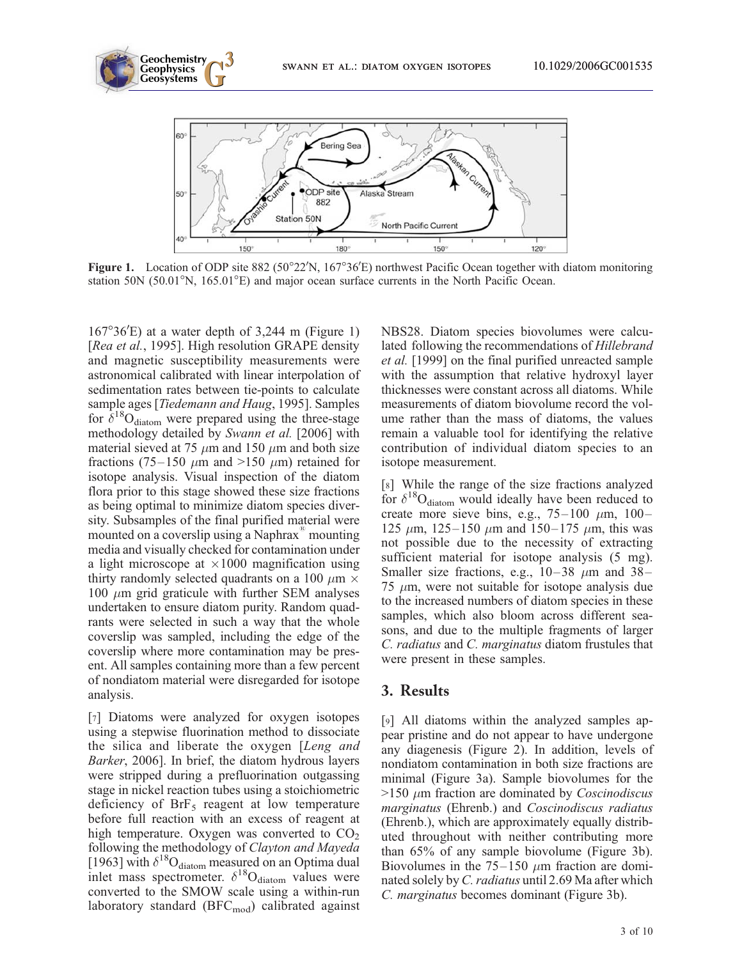

Figure 1. Location of ODP site 882 (50°22'N, 167°36'E) northwest Pacific Ocean together with diatom monitoring station 50N ( $50.01^{\circ}$ N,  $165.01^{\circ}$ E) and major ocean surface currents in the North Pacific Ocean.

 $167^{\circ}36'E$ ) at a water depth of 3,244 m (Figure 1) [Rea et al., 1995]. High resolution GRAPE density and magnetic susceptibility measurements were astronomical calibrated with linear interpolation of sedimentation rates between tie-points to calculate sample ages [Tiedemann and Haug, 1995]. Samples for  $\delta^{18}O_{\text{diatom}}$  were prepared using the three-stage methodology detailed by Swann et al. [2006] with material sieved at 75  $\mu$ m and 150  $\mu$ m and both size fractions (75–150  $\mu$ m and >150  $\mu$ m) retained for isotope analysis. Visual inspection of the diatom flora prior to this stage showed these size fractions as being optimal to minimize diatom species diversity. Subsamples of the final purified material were mounted on a coverslip using a Naphrax<sup>®</sup> mounting media and visually checked for contamination under a light microscope at  $\times 1000$  magnification using thirty randomly selected quadrants on a 100  $\mu$ m  $\times$ 100  $\mu$ m grid graticule with further SEM analyses undertaken to ensure diatom purity. Random quadrants were selected in such a way that the whole coverslip was sampled, including the edge of the coverslip where more contamination may be present. All samples containing more than a few percent of nondiatom material were disregarded for isotope analysis.

[7] Diatoms were analyzed for oxygen isotopes using a stepwise fluorination method to dissociate the silica and liberate the oxygen [Leng and Barker, 2006]. In brief, the diatom hydrous layers were stripped during a prefluorination outgassing stage in nickel reaction tubes using a stoichiometric deficiency of  $Brf<sub>5</sub>$  reagent at low temperature before full reaction with an excess of reagent at high temperature. Oxygen was converted to  $CO<sub>2</sub>$ following the methodology of Clayton and Mayeda [1963] with  $\delta^{18}O_{\text{diatom}}$  measured on an Optima dual inlet mass spectrometer.  $\delta^{18}O_{diatom}$  values were converted to the SMOW scale using a within-run laboratory standard (BFC<sub>mod</sub>) calibrated against NBS28. Diatom species biovolumes were calculated following the recommendations of Hillebrand et al. [1999] on the final purified unreacted sample with the assumption that relative hydroxyl layer thicknesses were constant across all diatoms. While measurements of diatom biovolume record the volume rather than the mass of diatoms, the values remain a valuable tool for identifying the relative contribution of individual diatom species to an isotope measurement.

[8] While the range of the size fractions analyzed for  $\delta^{18}O_{\text{diatom}}$  would ideally have been reduced to create more sieve bins, e.g.,  $75-100 \mu m$ ,  $100-$ 125  $\mu$ m, 125–150  $\mu$ m and 150–175  $\mu$ m, this was not possible due to the necessity of extracting sufficient material for isotope analysis  $(5 \text{ mg})$ . Smaller size fractions, e.g.,  $10-38$   $\mu$ m and 38– 75  $\mu$ m, were not suitable for isotope analysis due to the increased numbers of diatom species in these samples, which also bloom across different seasons, and due to the multiple fragments of larger C. radiatus and C. marginatus diatom frustules that were present in these samples.

### 3. Results

[9] All diatoms within the analyzed samples appear pristine and do not appear to have undergone any diagenesis (Figure 2). In addition, levels of nondiatom contamination in both size fractions are minimal (Figure 3a). Sample biovolumes for the  $>150 \mu m$  fraction are dominated by *Coscinodiscus* marginatus (Ehrenb.) and Coscinodiscus radiatus (Ehrenb.), which are approximately equally distributed throughout with neither contributing more than 65% of any sample biovolume (Figure 3b). Biovolumes in the  $75-150 \mu m$  fraction are dominated solely by C. radiatus until 2.69 Ma after which C. marginatus becomes dominant (Figure 3b).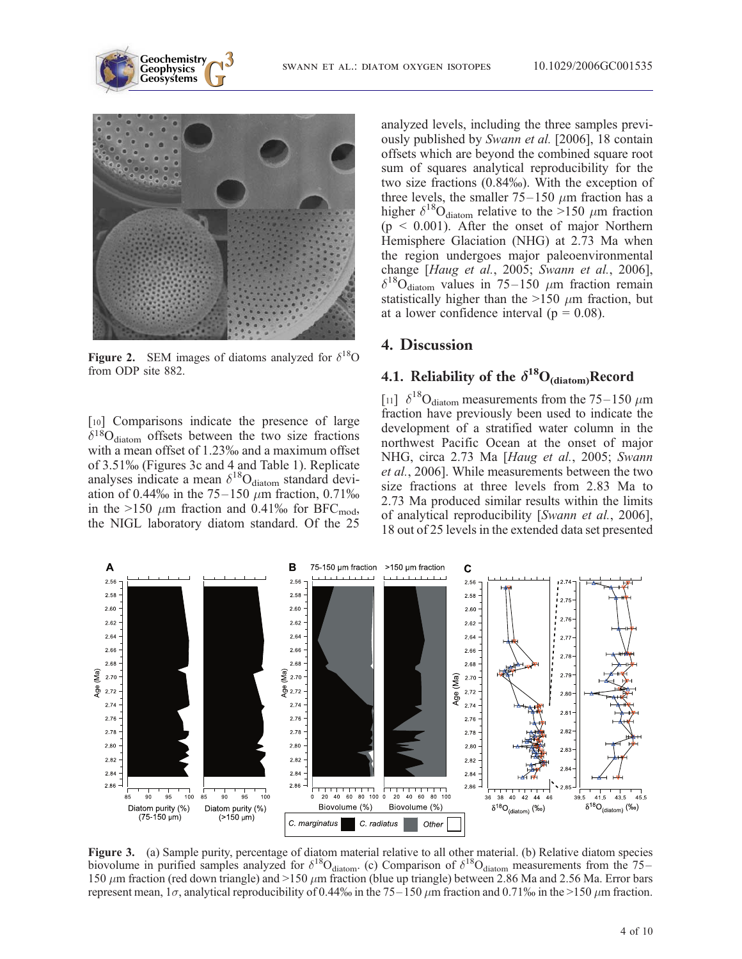

**Geochemistry Geophysics**

Figure 2. SEM images of diatoms analyzed for  $\delta^{18}O$ from ODP site 882.

[10] Comparisons indicate the presence of large  $\delta^{18}O_{diatom}$  offsets between the two size fractions with a mean offset of 1.23% and a maximum offset of 3.51% (Figures 3c and 4 and Table 1). Replicate analyses indicate a mean  $\delta^{18}O_{diatom}$  standard deviation of 0.44% in the 75–150  $\mu$ m fraction, 0.71% in the >150  $\mu$ m fraction and 0.41% for BFC<sub>mod</sub>, the NIGL laboratory diatom standard. Of the 25

analyzed levels, including the three samples previously published by Swann et al. [2006], 18 contain offsets which are beyond the combined square root sum of squares analytical reproducibility for the two size fractions (0.84%). With the exception of three levels, the smaller  $75-150 \mu m$  fraction has a higher  $\delta^{18}O_{\text{diatom}}$  relative to the >150  $\mu$ m fraction  $(p < 0.001)$ . After the onset of major Northern Hemisphere Glaciation (NHG) at 2.73 Ma when the region undergoes major paleoenvironmental change [Haug et al., 2005; Swann et al., 2006],  $\delta^{18}O_{\text{diatom}}$  values in 75–150  $\mu$ m fraction remain statistically higher than the  $>150 \mu m$  fraction, but at a lower confidence interval ( $p = 0.08$ ).

### 4. Discussion

# 4.1. Reliability of the  $\delta^{18}O_{(diatom)}$ Record

[11]  $\delta^{18}$ O<sub>diatom</sub> measurements from the 75–150  $\mu$ m fraction have previously been used to indicate the development of a stratified water column in the northwest Pacific Ocean at the onset of major NHG, circa 2.73 Ma [Haug et al., 2005; Swann et al., 2006]. While measurements between the two size fractions at three levels from 2.83 Ma to 2.73 Ma produced similar results within the limits of analytical reproducibility [Swann et al., 2006], 18 out of 25 levels in the extended data set presented



Figure 3. (a) Sample purity, percentage of diatom material relative to all other material. (b) Relative diatom species biovolume in purified samples analyzed for  $\delta^{18}O_{diatom}$ . (c) Comparison of  $\delta^{18}O_{diatom}$  measurements from the 75– 150  $\mu$ m fraction (red down triangle) and >150  $\mu$ m fraction (blue up triangle) between 2.86 Ma and 2.56 Ma. Error bars represent mean,  $1\sigma$ , analytical reproducibility of 0.44% in the 75–150  $\mu$ m fraction and 0.71% in the >150  $\mu$ m fraction.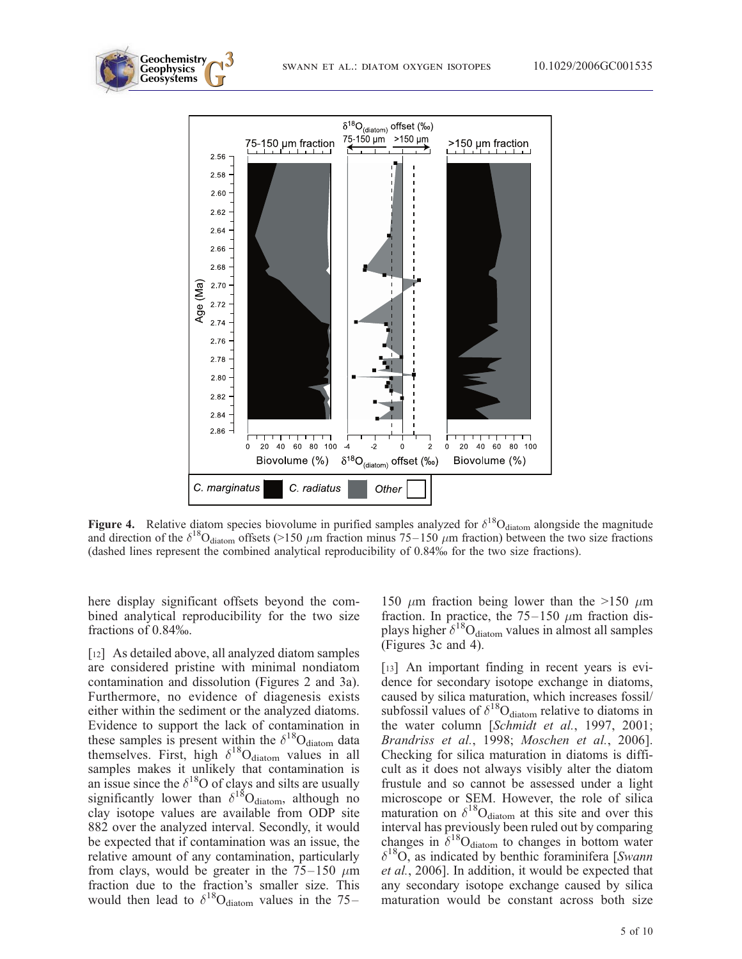

Figure 4. Relative diatom species biovolume in purified samples analyzed for  $\delta^{18}O_{diatom}$  alongside the magnitude and direction of the  $\delta^{18}O_{diatom}$  offsets (>150  $\mu$ m fraction minus 75–150  $\mu$ m fraction) between the two size fractions (dashed lines represent the combined analytical reproducibility of 0.84% for the two size fractions).

here display significant offsets beyond the combined analytical reproducibility for the two size fractions of 0.84%.

**Geochemistry Geophysics**

[12] As detailed above, all analyzed diatom samples are considered pristine with minimal nondiatom contamination and dissolution (Figures 2 and 3a). Furthermore, no evidence of diagenesis exists either within the sediment or the analyzed diatoms. Evidence to support the lack of contamination in these samples is present within the  $\delta^{18}O_{\text{diatom}}$  data themselves. First, high  $\delta^{18}O_{diatom}$  values in all samples makes it unlikely that contamination is an issue since the  $\delta^{18}$ O of clays and silts are usually significantly lower than  $\delta^{18}O_{diatom}$ , although no clay isotope values are available from ODP site 882 over the analyzed interval. Secondly, it would be expected that if contamination was an issue, the relative amount of any contamination, particularly from clays, would be greater in the  $75-150 \mu m$ fraction due to the fraction's smaller size. This would then lead to  $\delta^{18}O_{diatom}$  values in the 75–

150  $\mu$ m fraction being lower than the >150  $\mu$ m fraction. In practice, the  $75-150 \mu m$  fraction displays higher  $\delta^{18}O_{diatom}$  values in almost all samples (Figures 3c and 4).

[13] An important finding in recent years is evidence for secondary isotope exchange in diatoms, caused by silica maturation, which increases fossil/ subfossil values of  $\delta^{18}O_{diatom}$  relative to diatoms in the water column [Schmidt et al., 1997, 2001; Brandriss et al., 1998; Moschen et al., 2006]. Checking for silica maturation in diatoms is difficult as it does not always visibly alter the diatom frustule and so cannot be assessed under a light microscope or SEM. However, the role of silica maturation on  $\delta^{18}O_{\text{diatom}}$  at this site and over this interval has previously been ruled out by comparing changes in  $\delta^{18}O_{diatom}$  to changes in bottom water  $\delta^{18}O$ , as indicated by benthic foraminifera [Swann et al., 2006]. In addition, it would be expected that any secondary isotope exchange caused by silica maturation would be constant across both size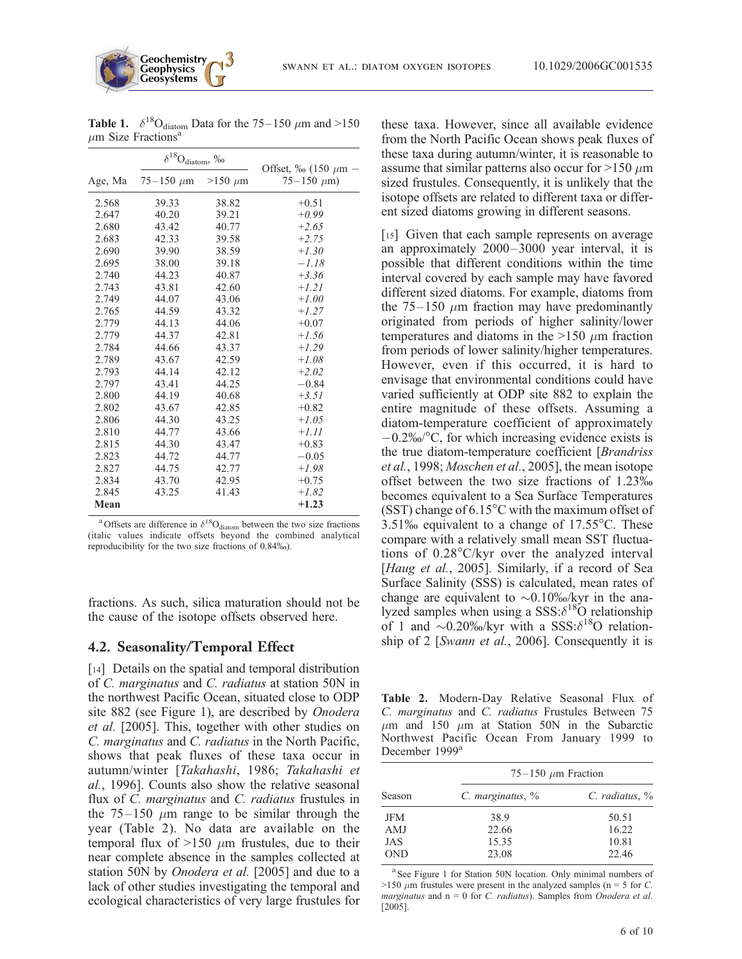|         | $\delta^{18}O_{\text{diatom}},\, \%$ |              |                                                 |
|---------|--------------------------------------|--------------|-------------------------------------------------|
| Age, Ma | $75 - 150 \mu m$                     | $>150 \mu$ m | Offset, $\%$ (150 $\mu$ m -<br>$75 - 150 \mu m$ |
| 2.568   | 39.33                                | 38.82        | $+0.51$                                         |
| 2.647   | 40.20                                | 39.21        | $+0.99$                                         |
| 2.680   | 43.42                                | 40.77        | $+2.65$                                         |
| 2.683   | 42.33                                | 39.58        | $+2.75$                                         |
| 2.690   | 39.90                                | 38.59        | $+1.30$                                         |
| 2.695   | 38.00                                | 39.18        | $-1.18$                                         |
| 2.740   | 44.23                                | 40.87        | $+3.36$                                         |
| 2.743   | 43.81                                | 42.60        | $+1.21$                                         |
| 2.749   | 44.07                                | 43.06        | $+1.00$                                         |
| 2.765   | 44.59                                | 43.32        | $+1.27$                                         |
| 2.779   | 44.13                                | 44.06        | $+0.07$                                         |
| 2.779   | 44.37                                | 42.81        | $+1.56$                                         |
| 2.784   | 44.66                                | 43.37        | $+1.29$                                         |
| 2.789   | 43.67                                | 42.59        | $+1.08$                                         |
| 2.793   | 44.14                                | 42.12        | $+2.02$                                         |
| 2.797   | 43.41                                | 44.25        | $-0.84$                                         |
| 2.800   | 44.19                                | 40.68        | $+3.51$                                         |
| 2.802   | 43.67                                | 42.85        | $+0.82$                                         |
| 2.806   | 44.30                                | 43.25        | $+1.05$                                         |
| 2.810   | 44.77                                | 43.66        | $+1.11$                                         |
| 2.815   | 44.30                                | 43.47        | $+0.83$                                         |
| 2.823   | 44.72                                | 44.77        | $-0.05$                                         |
| 2.827   | 44.75                                | 42.77        | $+1.98$                                         |
| 2.834   | 43.70                                | 42.95        | $+0.75$                                         |
| 2.845   | 43.25                                | 41.43        | $+1.82$                                         |
| Mean    |                                      |              | $+1.23$                                         |

**Table 1.**  $\delta^{18}O_{diatom}$  Data for the 75–150  $\mu$ m and >150  $\mu$ m Size Fractions<sup>4</sup>

**Geochemistry Geophysics**

<sup>a</sup>Offsets are difference in  $\delta^{18}O_{\text{diatom}}$  between the two size fractions (italic values indicate offsets beyond the combined analytical reproducibility for the two size fractions of 0.84%).

fractions. As such, silica maturation should not be the cause of the isotope offsets observed here.

#### 4.2. Seasonality/Temporal Effect

[14] Details on the spatial and temporal distribution of C. marginatus and C. radiatus at station 50N in the northwest Pacific Ocean, situated close to ODP site 882 (see Figure 1), are described by Onodera et al. [2005]. This, together with other studies on C. marginatus and C. radiatus in the North Pacific, shows that peak fluxes of these taxa occur in autumn/winter [Takahashi, 1986; Takahashi et al., 1996]. Counts also show the relative seasonal flux of C. marginatus and C. radiatus frustules in the  $75-150 \mu m$  range to be similar through the year (Table 2). No data are available on the temporal flux of  $>150 \mu m$  frustules, due to their near complete absence in the samples collected at station 50N by *Onodera et al.* [2005] and due to a lack of other studies investigating the temporal and ecological characteristics of very large frustules for these taxa. However, since all available evidence from the North Pacific Ocean shows peak fluxes of these taxa during autumn/winter, it is reasonable to assume that similar patterns also occur for  $>150 \mu m$ sized frustules. Consequently, it is unlikely that the isotope offsets are related to different taxa or different sized diatoms growing in different seasons.

[15] Given that each sample represents on average an approximately 2000–3000 year interval, it is possible that different conditions within the time interval covered by each sample may have favored different sized diatoms. For example, diatoms from the  $75-150 \mu m$  fraction may have predominantly originated from periods of higher salinity/lower temperatures and diatoms in the >150  $\mu$ m fraction from periods of lower salinity/higher temperatures. However, even if this occurred, it is hard to envisage that environmental conditions could have varied sufficiently at ODP site 882 to explain the entire magnitude of these offsets. Assuming a diatom-temperature coefficient of approximately  $-0.2\%$ <sup>o</sup>C, for which increasing evidence exists is the true diatom-temperature coefficient [Brandriss] et al., 1998; Moschen et al., 2005], the mean isotope offset between the two size fractions of 1.23% becomes equivalent to a Sea Surface Temperatures (SST) change of  $6.15^{\circ}$ C with the maximum offset of 3.51% equivalent to a change of  $17.55^{\circ}$ C. These compare with a relatively small mean SST fluctuations of  $0.28^{\circ}$ C/kyr over the analyzed interval [Haug et al., 2005]. Similarly, if a record of Sea Surface Salinity (SSS) is calculated, mean rates of change are equivalent to  $\sim 0.10\%$ %/kyr in the analyzed samples when using a  $SSS:\delta^{18}O$  relationship of 1 and  $\sim 0.20\%$ %/kyr with a SSS: $\delta^{18}$ O relationship of 2 [Swann et al., 2006]. Consequently it is

Table 2. Modern-Day Relative Seasonal Flux of C. marginatus and C. radiatus Frustules Between 75  $\mu$ m and 150  $\mu$ m at Station 50N in the Subarctic Northwest Pacific Ocean From January 1999 to December 1999<sup>a</sup>

|            | 75–150 $\mu$ m Fraction |                     |  |
|------------|-------------------------|---------------------|--|
| Season     | $C.$ marginatus, $\%$   | $C.$ radiatus, $\%$ |  |
| <b>JFM</b> | 38.9                    | 50.51               |  |
| AMJ        | 22.66                   | 16.22               |  |
| JAS        | 15.35                   | 10.81               |  |
| <b>OND</b> | 23.08                   | 22.46               |  |

<sup>&</sup>lt;sup>a</sup> See Figure 1 for Station 50N location. Only minimal numbers of >150  $\mu$ m frustules were present in the analyzed samples (n = 5 for C. marginatus and  $n = 0$  for C. radiatus). Samples from Onodera et al. [2005].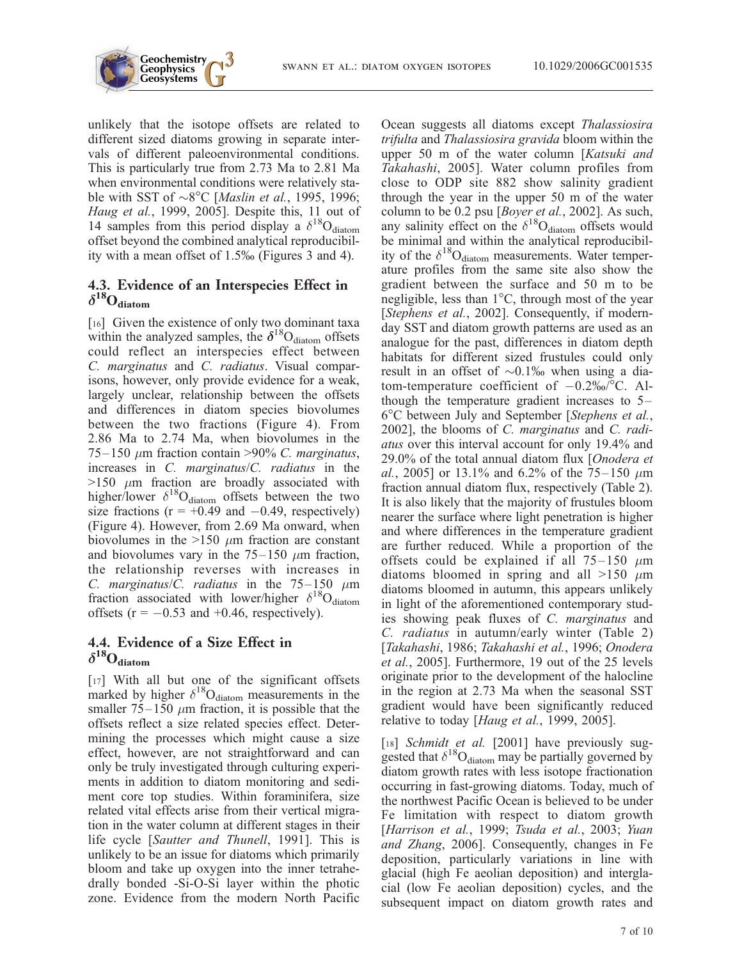

unlikely that the isotope offsets are related to different sized diatoms growing in separate intervals of different paleoenvironmental conditions. This is particularly true from 2.73 Ma to 2.81 Ma when environmental conditions were relatively stable with SST of  $\sim8^{\circ}$ C [*Maslin et al.*, 1995, 1996; Haug et al., 1999, 2005]. Despite this, 11 out of 14 samples from this period display a  $\delta^{18}O_{\text{diatom}}$ offset beyond the combined analytical reproducibility with a mean offset of 1.5% (Figures 3 and 4).

## 4.3. Evidence of an Interspecies Effect in  $\delta^{18}O_{\text{diatom}}$

[16] Given the existence of only two dominant taxa within the analyzed samples, the  $\delta^{18}O_{diatom}$  offsets could reflect an interspecies effect between C. marginatus and C. radiatus. Visual comparisons, however, only provide evidence for a weak, largely unclear, relationship between the offsets and differences in diatom species biovolumes between the two fractions (Figure 4). From 2.86 Ma to 2.74 Ma, when biovolumes in the  $75-150 \mu m$  fraction contain >90% C. marginatus, increases in C. marginatus/C. radiatus in the  $>150$   $\mu$ m fraction are broadly associated with higher/lower  $\delta^{18}O_{\text{diatom}}$  offsets between the two size fractions ( $r = +0.49$  and  $-0.49$ , respectively) (Figure 4). However, from 2.69 Ma onward, when biovolumes in the  $>150 \mu m$  fraction are constant and biovolumes vary in the  $75-150 \mu m$  fraction, the relationship reverses with increases in C. marginatus/C. radiatus in the  $75-150 \mu m$ fraction associated with lower/higher  $\delta^{18}O_{diatom}$ offsets ( $r = -0.53$  and +0.46, respectively).

# 4.4. Evidence of a Size Effect in  $\delta^{18}O_{\text{diatom}}$

[17] With all but one of the significant offsets marked by higher  $\delta^{18}O_{diatom}$  measurements in the smaller  $75-150 \mu m$  fraction, it is possible that the offsets reflect a size related species effect. Determining the processes which might cause a size effect, however, are not straightforward and can only be truly investigated through culturing experiments in addition to diatom monitoring and sediment core top studies. Within foraminifera, size related vital effects arise from their vertical migration in the water column at different stages in their life cycle [Sautter and Thunell, 1991]. This is unlikely to be an issue for diatoms which primarily bloom and take up oxygen into the inner tetrahedrally bonded -Si-O-Si layer within the photic zone. Evidence from the modern North Pacific

Ocean suggests all diatoms except Thalassiosira trifulta and Thalassiosira gravida bloom within the upper 50 m of the water column [Katsuki and Takahashi, 2005]. Water column profiles from close to ODP site 882 show salinity gradient through the year in the upper 50 m of the water column to be 0.2 psu [*Boyer et al.*, 2002]. As such, any salinity effect on the  $\delta^{18}O_{\text{diatom}}$  offsets would be minimal and within the analytical reproducibility of the  $\delta^{18}O_{diatom}$  measurements. Water temperature profiles from the same site also show the gradient between the surface and 50 m to be negligible, less than  $1^{\circ}$ C, through most of the year [Stephens et al., 2002]. Consequently, if modernday SST and diatom growth patterns are used as an analogue for the past, differences in diatom depth habitats for different sized frustules could only result in an offset of  $\sim 0.1\%$  when using a diatom-temperature coefficient of  $-0.2\%$  °C. Although the temperature gradient increases to 5– 6C between July and September [Stephens et al., 2002], the blooms of C. marginatus and C. radiatus over this interval account for only 19.4% and 29.0% of the total annual diatom flux [Onodera et al., 2005] or 13.1% and 6.2% of the  $75-150 \mu m$ fraction annual diatom flux, respectively (Table 2). It is also likely that the majority of frustules bloom nearer the surface where light penetration is higher and where differences in the temperature gradient are further reduced. While a proportion of the offsets could be explained if all  $75-150 \mu m$ diatoms bloomed in spring and all  $>150 \mu$ m diatoms bloomed in autumn, this appears unlikely in light of the aforementioned contemporary studies showing peak fluxes of C. marginatus and C. radiatus in autumn/early winter (Table 2) [Takahashi, 1986; Takahashi et al., 1996; Onodera et al., 2005]. Furthermore, 19 out of the 25 levels originate prior to the development of the halocline in the region at 2.73 Ma when the seasonal SST gradient would have been significantly reduced relative to today [*Haug et al.*, 1999, 2005].

[18] Schmidt et al. [2001] have previously suggested that  $\delta^{18}O_{\text{diatom}}$  may be partially governed by diatom growth rates with less isotope fractionation occurring in fast-growing diatoms. Today, much of the northwest Pacific Ocean is believed to be under Fe limitation with respect to diatom growth [Harrison et al., 1999; Tsuda et al., 2003; Yuan and Zhang, 2006]. Consequently, changes in Fe deposition, particularly variations in line with glacial (high Fe aeolian deposition) and interglacial (low Fe aeolian deposition) cycles, and the subsequent impact on diatom growth rates and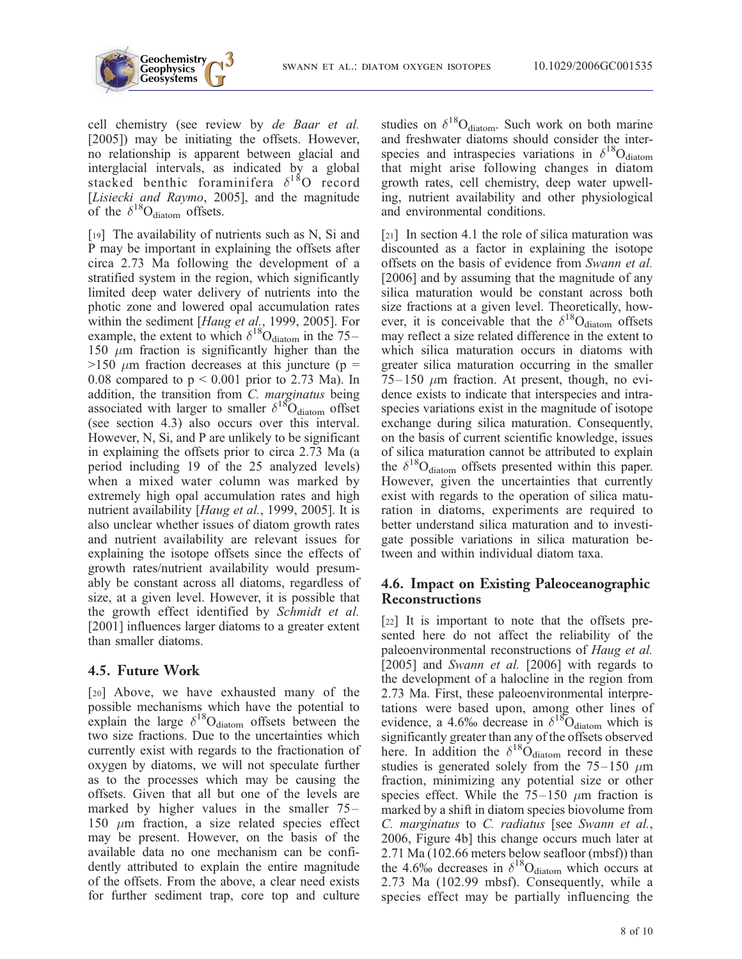

cell chemistry (see review by de Baar et al. [2005]) may be initiating the offsets. However, no relationship is apparent between glacial and interglacial intervals, as indicated by a global stacked benthic foraminifera  $\delta^{18}$ O record [Lisiecki and Raymo, 2005], and the magnitude of the  $\delta^{18}O_{diatom}$  offsets.

[19] The availability of nutrients such as N, Si and P may be important in explaining the offsets after circa 2.73 Ma following the development of a stratified system in the region, which significantly limited deep water delivery of nutrients into the photic zone and lowered opal accumulation rates within the sediment [Haug et al., 1999, 2005]. For example, the extent to which  $\delta^{18}O_{\text{diatom}}$  in the 75– 150  $\mu$ m fraction is significantly higher than the  $>150 \mu m$  fraction decreases at this juncture (p = 0.08 compared to  $p < 0.001$  prior to 2.73 Ma). In addition, the transition from C. marginatus being associated with larger to smaller  $\delta^{18}O_{\text{diatom}}$  offset (see section 4.3) also occurs over this interval. However, N, Si, and P are unlikely to be significant in explaining the offsets prior to circa 2.73 Ma (a period including 19 of the 25 analyzed levels) when a mixed water column was marked by extremely high opal accumulation rates and high nutrient availability [*Haug et al.*, 1999, 2005]. It is also unclear whether issues of diatom growth rates and nutrient availability are relevant issues for explaining the isotope offsets since the effects of growth rates/nutrient availability would presumably be constant across all diatoms, regardless of size, at a given level. However, it is possible that the growth effect identified by Schmidt et al. [2001] influences larger diatoms to a greater extent than smaller diatoms.

### 4.5. Future Work

[20] Above, we have exhausted many of the possible mechanisms which have the potential to explain the large  $\delta^{18}O_{\text{diatom}}$  offsets between the two size fractions. Due to the uncertainties which currently exist with regards to the fractionation of oxygen by diatoms, we will not speculate further as to the processes which may be causing the offsets. Given that all but one of the levels are marked by higher values in the smaller 75– 150  $\mu$ m fraction, a size related species effect may be present. However, on the basis of the available data no one mechanism can be confidently attributed to explain the entire magnitude of the offsets. From the above, a clear need exists for further sediment trap, core top and culture studies on  $\delta^{18}O_{diatom}$ . Such work on both marine and freshwater diatoms should consider the interspecies and intraspecies variations in  $\delta^{18}O_{diatom}$ that might arise following changes in diatom growth rates, cell chemistry, deep water upwelling, nutrient availability and other physiological and environmental conditions.

[21] In section 4.1 the role of silica maturation was discounted as a factor in explaining the isotope offsets on the basis of evidence from Swann et al. [2006] and by assuming that the magnitude of any silica maturation would be constant across both size fractions at a given level. Theoretically, however, it is conceivable that the  $\delta^{18}O_{\text{diatom}}$  offsets may reflect a size related difference in the extent to which silica maturation occurs in diatoms with greater silica maturation occurring in the smaller  $75-150 \mu m$  fraction. At present, though, no evidence exists to indicate that interspecies and intraspecies variations exist in the magnitude of isotope exchange during silica maturation. Consequently, on the basis of current scientific knowledge, issues of silica maturation cannot be attributed to explain the  $\delta^{18}O_{\text{diatom}}$  offsets presented within this paper. However, given the uncertainties that currently exist with regards to the operation of silica maturation in diatoms, experiments are required to better understand silica maturation and to investigate possible variations in silica maturation between and within individual diatom taxa.

### 4.6. Impact on Existing Paleoceanographic Reconstructions

[22] It is important to note that the offsets presented here do not affect the reliability of the paleoenvironmental reconstructions of Haug et al. [2005] and Swann et al. [2006] with regards to the development of a halocline in the region from 2.73 Ma. First, these paleoenvironmental interpretations were based upon, among other lines of evidence, a 4.6% decrease in  $\delta^{18}$ O<sub>diatom</sub> which is significantly greater than any of the offsets observed here. In addition the  $\delta^{18}O_{\text{diatom}}$  record in these studies is generated solely from the  $75-150 \mu m$ fraction, minimizing any potential size or other species effect. While the  $75-150 \mu m$  fraction is marked by a shift in diatom species biovolume from C. marginatus to C. radiatus [see Swann et al., 2006, Figure 4b] this change occurs much later at 2.71 Ma (102.66 meters below seafloor (mbsf)) than the 4.6% decreases in  $\delta^{18}O_{diatom}$  which occurs at 2.73 Ma (102.99 mbsf). Consequently, while a species effect may be partially influencing the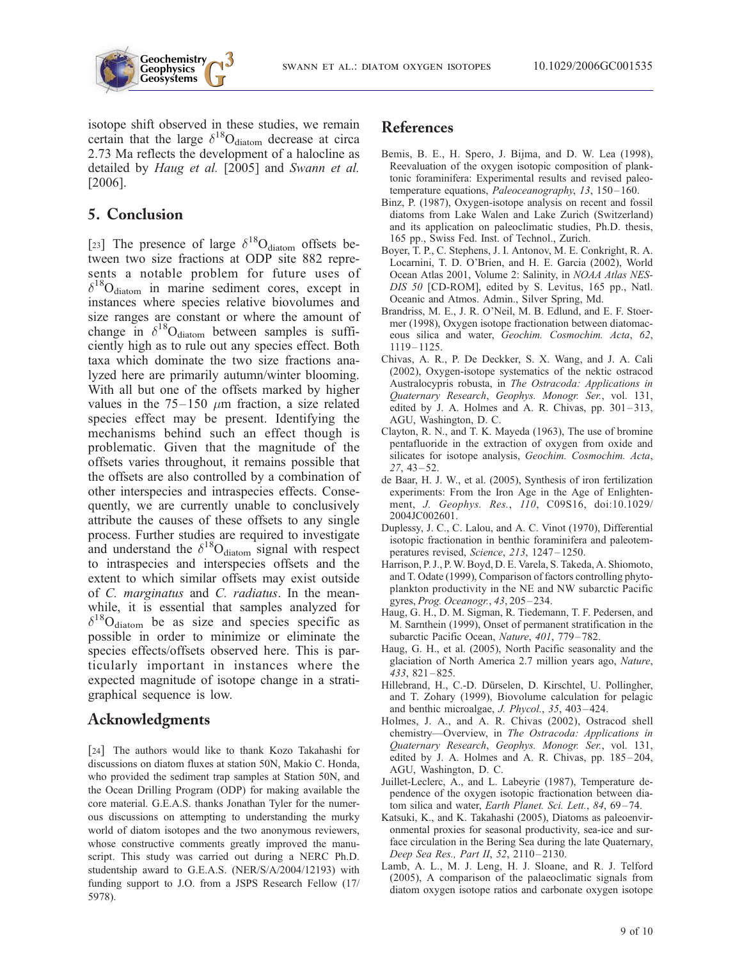



isotope shift observed in these studies, we remain certain that the large  $\delta^{18}O_{diatom}$  decrease at circa 2.73 Ma reflects the development of a halocline as detailed by Haug et al. [2005] and Swann et al. [2006].

## 5. Conclusion

[23] The presence of large  $\delta^{18}O_{diatom}$  offsets between two size fractions at ODP site 882 represents a notable problem for future uses of  $\delta^{18}$ O<sub>diatom</sub> in marine sediment cores, except in instances where species relative biovolumes and size ranges are constant or where the amount of change in  $\delta^{18}O_{diatom}$  between samples is sufficiently high as to rule out any species effect. Both taxa which dominate the two size fractions analyzed here are primarily autumn/winter blooming. With all but one of the offsets marked by higher values in the  $75-150 \mu m$  fraction, a size related species effect may be present. Identifying the mechanisms behind such an effect though is problematic. Given that the magnitude of the offsets varies throughout, it remains possible that the offsets are also controlled by a combination of other interspecies and intraspecies effects. Consequently, we are currently unable to conclusively attribute the causes of these offsets to any single process. Further studies are required to investigate and understand the  $\delta^{18}O_{diatom}$  signal with respect to intraspecies and interspecies offsets and the extent to which similar offsets may exist outside of C. marginatus and C. radiatus. In the meanwhile, it is essential that samples analyzed for  $\delta^{18}O_{diatom}$  be as size and species specific as possible in order to minimize or eliminate the species effects/offsets observed here. This is particularly important in instances where the expected magnitude of isotope change in a stratigraphical sequence is low.

# Acknowledgments

[24] The authors would like to thank Kozo Takahashi for discussions on diatom fluxes at station 50N, Makio C. Honda, who provided the sediment trap samples at Station 50N, and the Ocean Drilling Program (ODP) for making available the core material. G.E.A.S. thanks Jonathan Tyler for the numerous discussions on attempting to understanding the murky world of diatom isotopes and the two anonymous reviewers, whose constructive comments greatly improved the manuscript. This study was carried out during a NERC Ph.D. studentship award to G.E.A.S. (NER/S/A/2004/12193) with funding support to J.O. from a JSPS Research Fellow (17/ 5978).

## References

- Bemis, B. E., H. Spero, J. Bijma, and D. W. Lea (1998), Reevaluation of the oxygen isotopic composition of planktonic foraminifera: Experimental results and revised paleotemperature equations, Paleoceanography, 13, 150-160.
- Binz, P. (1987), Oxygen-isotope analysis on recent and fossil diatoms from Lake Walen and Lake Zurich (Switzerland) and its application on paleoclimatic studies, Ph.D. thesis, 165 pp., Swiss Fed. Inst. of Technol., Zurich.
- Boyer, T. P., C. Stephens, J. I. Antonov, M. E. Conkright, R. A. Locarnini, T. D. O'Brien, and H. E. Garcia (2002), World Ocean Atlas 2001, Volume 2: Salinity, in NOAA Atlas NES-DIS 50 [CD-ROM], edited by S. Levitus, 165 pp., Natl. Oceanic and Atmos. Admin., Silver Spring, Md.
- Brandriss, M. E., J. R. O'Neil, M. B. Edlund, and E. F. Stoermer (1998), Oxygen isotope fractionation between diatomaceous silica and water, Geochim. Cosmochim. Acta, 62, 1119 – 1125.
- Chivas, A. R., P. De Deckker, S. X. Wang, and J. A. Cali (2002), Oxygen-isotope systematics of the nektic ostracod Australocypris robusta, in The Ostracoda: Applications in Quaternary Research, Geophys. Monogr. Ser., vol. 131, edited by J. A. Holmes and A. R. Chivas, pp.  $301-313$ , AGU, Washington, D. C.
- Clayton, R. N., and T. K. Mayeda (1963), The use of bromine pentafluoride in the extraction of oxygen from oxide and silicates for isotope analysis, Geochim. Cosmochim. Acta,  $27, 43 - 52.$
- de Baar, H. J. W., et al. (2005), Synthesis of iron fertilization experiments: From the Iron Age in the Age of Enlightenment, J. Geophys. Res., 110, C09S16, doi:10.1029/ 2004JC002601.
- Duplessy, J. C., C. Lalou, and A. C. Vinot (1970), Differential isotopic fractionation in benthic foraminifera and paleotemperatures revised, Science, 213, 1247-1250.
- Harrison, P. J., P.W. Boyd, D. E. Varela, S. Takeda, A. Shiomoto, and T. Odate (1999), Comparison of factors controlling phytoplankton productivity in the NE and NW subarctic Pacific gyres, Prog. Oceanogr., 43, 205-234.
- Haug, G. H., D. M. Sigman, R. Tiedemann, T. F. Pedersen, and M. Sarnthein (1999), Onset of permanent stratification in the subarctic Pacific Ocean, Nature, 401, 779-782.
- Haug, G. H., et al. (2005), North Pacific seasonality and the glaciation of North America 2.7 million years ago, Nature, 433, 821 – 825.
- Hillebrand, H., C.-D. Dürselen, D. Kirschtel, U. Pollingher, and T. Zohary (1999), Biovolume calculation for pelagic and benthic microalgae, *J. Phycol.*, 35, 403-424.
- Holmes, J. A., and A. R. Chivas (2002), Ostracod shell chemistry—Overview, in The Ostracoda: Applications in Quaternary Research, Geophys. Monogr. Ser., vol. 131, edited by J. A. Holmes and A. R. Chivas, pp. 185-204, AGU, Washington, D. C.
- Juillet-Leclerc, A., and L. Labeyrie (1987), Temperature dependence of the oxygen isotopic fractionation between diatom silica and water, Earth Planet. Sci. Lett., 84, 69-74.
- Katsuki, K., and K. Takahashi (2005), Diatoms as paleoenvironmental proxies for seasonal productivity, sea-ice and surface circulation in the Bering Sea during the late Quaternary, Deep Sea Res., Part II, 52, 2110-2130.
- Lamb, A. L., M. J. Leng, H. J. Sloane, and R. J. Telford (2005), A comparison of the palaeoclimatic signals from diatom oxygen isotope ratios and carbonate oxygen isotope